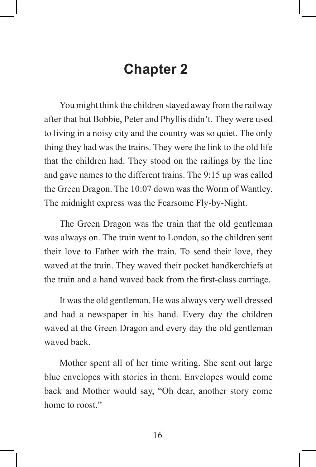## **Chapter 2**

 You might think the children stayed away from the railway after that but Bobbie, Peter and Phyllis didn't. They were used to living in a noisy city and the country was so quiet. The only thing they had was the trains. They were the link to the old life that the children had. They stood on the railings by the line and gave names to the different trains. The 9:15 up was called the Green Dragon. The 10:07 down was the Worm of Wantley. The midnight express was the Fearsome Fly-by-Night.

 The Green Dragon was the train that the old gentleman was always on. The train went to London, so the children sent their love to Father with the train. To send their love, they waved at the train. They waved their pocket handkerchiefs at the train and a hand waved back from the first-class carriage.

 It was the old gentleman. He was always very well dressed and had a newspaper in his hand. Every day the children waved at the Green Dragon and every day the old gentleman waved back.

 Mother spent all of her time writing. She sent out large blue envelopes with stories in them. Envelopes would come back and Mother would say, "Oh dear, another story come home to roost."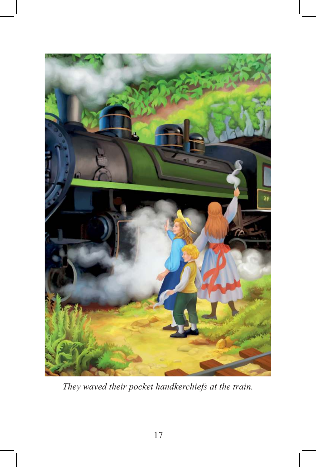

*They waved their pocket handkerchiefs at the train.*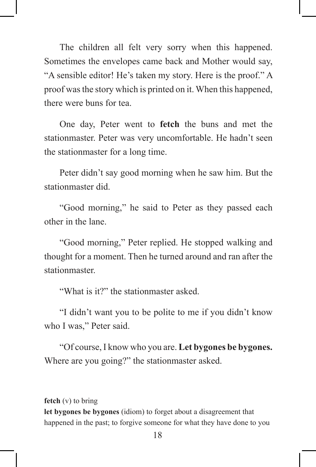The children all felt very sorry when this happened. Sometimes the envelopes came back and Mother would say, "A sensible editor! He's taken my story. Here is the proof." A proof was the story which is printed on it. When this happened, there were buns for tea.

 One day, Peter went to **fetch** the buns and met the stationmaster. Peter was very uncomfortable. He hadn't seen the stationmaster for a long time.

 Peter didn't say good morning when he saw him. But the stationmaster did.

 "Good morning," he said to Peter as they passed each other in the lane.

 "Good morning," Peter replied. He stopped walking and thought for a moment. Then he turned around and ran after the stationmaster.

"What is it?" the stationmaster asked.

 "I didn't want you to be polite to me if you didn't know who I was," Peter said.

 "Of course, I know who you are. **Let bygones be bygones.** Where are you going?" the stationmaster asked.

#### **fetch** (v) to bring

**let bygones be bygones** (idiom) to forget about a disagreement that happened in the past; to forgive someone for what they have done to you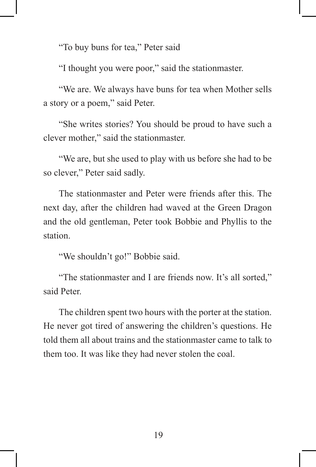"To buy buns for tea," Peter said

"I thought you were poor," said the stationmaster.

 "We are. We always have buns for tea when Mother sells a story or a poem," said Peter.

 "She writes stories? You should be proud to have such a clever mother," said the stationmaster.

 "We are, but she used to play with us before she had to be so clever," Peter said sadly.

 The stationmaster and Peter were friends after this. The next day, after the children had waved at the Green Dragon and the old gentleman, Peter took Bobbie and Phyllis to the station.

"We shouldn't go!" Bobbie said.

 "The stationmaster and I are friends now. It's all sorted," said Peter.

 The children spent two hours with the porter at the station. He never got tired of answering the children's questions. He told them all about trains and the stationmaster came to talk to them too. It was like they had never stolen the coal.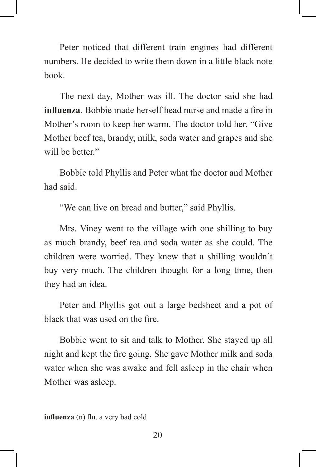Peter noticed that different train engines had different numbers. He decided to write them down in a little black note book.

 The next day, Mother was ill. The doctor said she had **influenza**. Bobbie made herself head nurse and made a fire in Mother's room to keep her warm. The doctor told her, "Give Mother beef tea, brandy, milk, soda water and grapes and she will be better."

 Bobbie told Phyllis and Peter what the doctor and Mother had said.

"We can live on bread and butter," said Phyllis.

 Mrs. Viney went to the village with one shilling to buy as much brandy, beef tea and soda water as she could. The children were worried. They knew that a shilling wouldn't buy very much. The children thought for a long time, then they had an idea.

 Peter and Phyllis got out a large bedsheet and a pot of black that was used on the fire.

 Bobbie went to sit and talk to Mother. She stayed up all night and kept the fire going. She gave Mother milk and soda water when she was awake and fell asleep in the chair when Mother was asleep.

**influenza** (n) flu, a very bad cold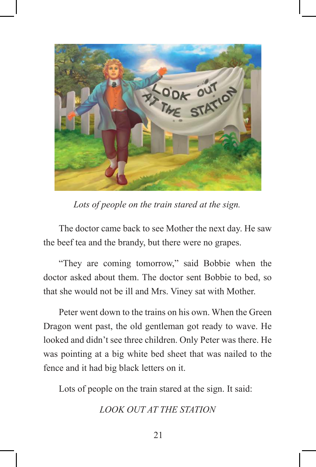

*Lots of people on the train stared at the sign.*

 The doctor came back to see Mother the next day. He saw the beef tea and the brandy, but there were no grapes.

 "They are coming tomorrow," said Bobbie when the doctor asked about them. The doctor sent Bobbie to bed, so that she would not be ill and Mrs. Viney sat with Mother.

 Peter went down to the trains on his own. When the Green Dragon went past, the old gentleman got ready to wave. He looked and didn't see three children. Only Peter was there. He was pointing at a big white bed sheet that was nailed to the fence and it had big black letters on it.

Lots of people on the train stared at the sign. It said:

*LOOK OUT AT THE STATION*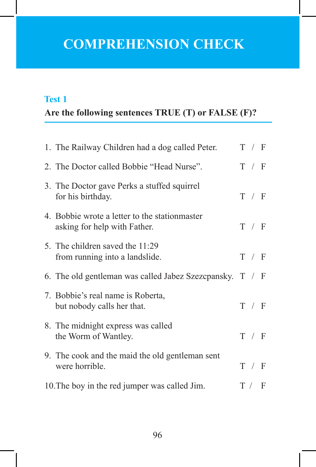## **COMPREHENSION CHECK**

### **Test 1**

## **Are the following sentences TRUE (T) or FALSE (F)?**

|                                               | 1. The Railway Children had a dog called Peter.                                |  | T / F |  |
|-----------------------------------------------|--------------------------------------------------------------------------------|--|-------|--|
|                                               | 2. The Doctor called Bobbie "Head Nurse".                                      |  | T / F |  |
|                                               | 3. The Doctor gave Perks a stuffed squirrel<br>for his birthday.               |  | T / F |  |
|                                               | 4. Bobbie wrote a letter to the station master<br>asking for help with Father. |  | T / F |  |
|                                               | 5. The children saved the 11:29<br>from running into a landslide.              |  | T / F |  |
|                                               | 6. The old gentleman was called Jabez Szezcpansky. $T / F$                     |  |       |  |
|                                               | 7. Bobbie's real name is Roberta,<br>but nobody calls her that.                |  | T / F |  |
|                                               | 8. The midnight express was called<br>the Worm of Wantley.                     |  | T / F |  |
|                                               | 9. The cook and the maid the old gentleman sent<br>were horrible.              |  | T / F |  |
| 10. The boy in the red jumper was called Jim. |                                                                                |  |       |  |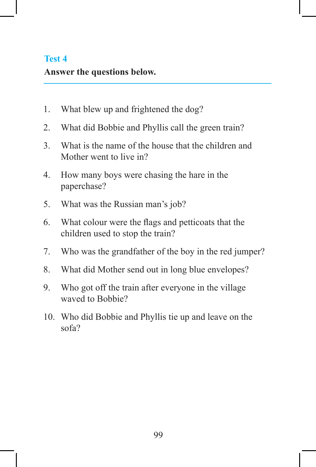### **Test 4**

#### **Answer the questions below.**

- 1. What blew up and frightened the dog?
- 2. What did Bobbie and Phyllis call the green train?
- 3. What is the name of the house that the children and Mother went to live in?
- 4. How many boys were chasing the hare in the paperchase?
- 5. What was the Russian man's job?
- 6. What colour were the flags and petticoats that the children used to stop the train?
- 7. Who was the grandfather of the boy in the red jumper?
- 8. What did Mother send out in long blue envelopes?
- 9. Who got off the train after everyone in the village waved to Bobbie?
- 10. Who did Bobbie and Phyllis tie up and leave on the sofa?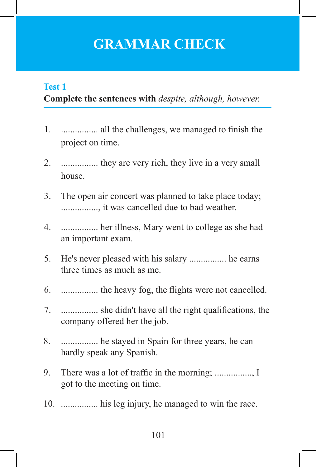## **GRAMMAR CHECK**

### **Complete the sentences with** *despite, although, however.* **Test 1**

- 1. ................ all the challenges, we managed to finish the project on time.
- 2. ................ they are very rich, they live in a very small house.
- 3. The open air concert was planned to take place today; ................, it was cancelled due to bad weather.
- 4. ................ her illness, Mary went to college as she had an important exam.
- 5. He's never pleased with his salary ................ he earns three times as much as me.
- 6. ................ the heavy fog, the flights were not cancelled.
- 7. ................ she didn't have all the right qualifications, the company offered her the job.
- 8. ................ he stayed in Spain for three years, he can hardly speak any Spanish.
- 9. There was a lot of traffic in the morning; ................, I got to the meeting on time.
- 10. ................ his leg injury, he managed to win the race.